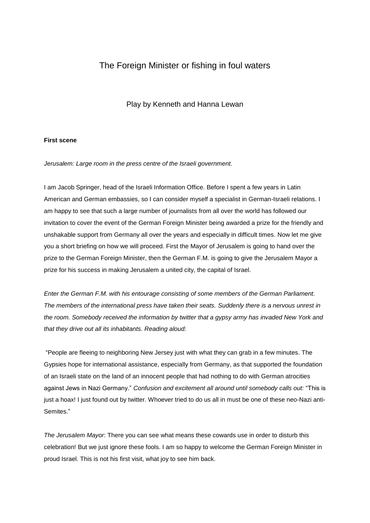# The Foreign Minister or fishing in foul waters

# Play by Kenneth and Hanna Lewan

## **First scene**

*Jerusalem: Large room in the press centre of the Israeli government.*

I am Jacob Springer, head of the Israeli Information Office. Before I spent a few years in Latin American and German embassies, so I can consider myself a specialist in German-Israeli relations. I am happy to see that such a large number of journalists from all over the world has followed our invitation to cover the event of the German Foreign Minister being awarded a prize for the friendly and unshakable support from Germany all over the years and especially in difficult times. Now let me give you a short briefing on how we will proceed. First the Mayor of Jerusalem is going to hand over the prize to the German Foreign Minister, then the German F.M. is going to give the Jerusalem Mayor a prize for his success in making Jerusalem a united city, the capital of Israel.

*Enter the German F.M. with his entourage consisting of some members of the German Parliament. The members of the international press have taken their seats. Suddenly there is a nervous unrest in the room. Somebody received the information by twitter that a gypsy army has invaded New York and that they drive out all its inhabitants. Reading aloud:*

"People are fleeing to neighboring New Jersey just with what they can grab in a few minutes. The Gypsies hope for international assistance, especially from Germany, as that supported the foundation of an Israeli state on the land of an innocent people that had nothing to do with German atrocities against Jews in Nazi Germany." *Confusion and excitement all around until somebody calls out:* "This is just a hoax! I just found out by twitter. Whoever tried to do us all in must be one of these neo-Nazi anti-Semites."

*The Jerusalem Mayor*: There you can see what means these cowards use in order to disturb this celebration! But we just ignore these fools. I am so happy to welcome the German Foreign Minister in proud Israel. This is not his first visit, what joy to see him back.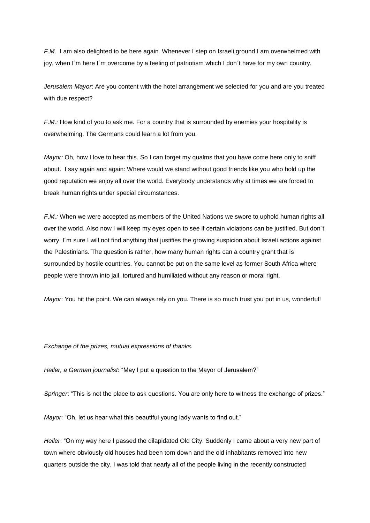*F.M.* I am also delighted to be here again. Whenever I step on Israeli ground I am overwhelmed with joy, when I´m here I´m overcome by a feeling of patriotism which I don´t have for my own country.

*Jerusalem Mayor*: Are you content with the hotel arrangement we selected for you and are you treated with due respect?

*F.M.:* How kind of you to ask me. For a country that is surrounded by enemies your hospitality is overwhelming. The Germans could learn a lot from you.

*Mayor:* Oh, how I love to hear this. So I can forget my qualms that you have come here only to sniff about. I say again and again: Where would we stand without good friends like you who hold up the good reputation we enjoy all over the world. Everybody understands why at times we are forced to break human rights under special circumstances.

*F.M.:* When we were accepted as members of the United Nations we swore to uphold human rights all over the world. Also now I will keep my eyes open to see if certain violations can be justified. But don´t worry, I´m sure I will not find anything that justifies the growing suspicion about Israeli actions against the Palestinians. The question is rather, how many human rights can a country grant that is surrounded by hostile countries. You cannot be put on the same level as former South Africa where people were thrown into jail, tortured and humiliated without any reason or moral right.

*Mayor*: You hit the point. We can always rely on you. There is so much trust you put in us, wonderful!

#### *Exchange of the prizes, mutual expressions of thanks.*

*Heller, a German journalist*: "May I put a question to the Mayor of Jerusalem?"

*Springer*: "This is not the place to ask questions. You are only here to witness the exchange of prizes."

*Mayor*: "Oh, let us hear what this beautiful young lady wants to find out."

*Heller*: "On my way here I passed the dilapidated Old City. Suddenly I came about a very new part of town where obviously old houses had been torn down and the old inhabitants removed into new quarters outside the city. I was told that nearly all of the people living in the recently constructed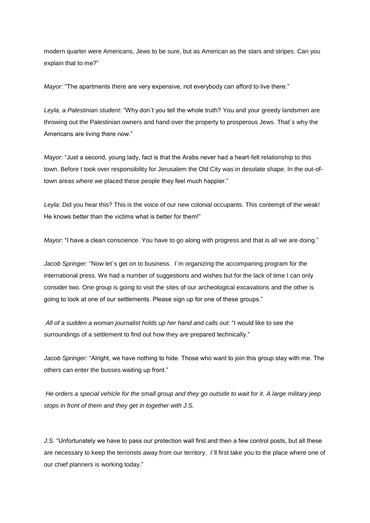modern quarter were Americans, Jews to be sure, but as American as the stars and stripes. Can you explain that to me?"

*Mayor*: "The apartments there are very expensive, not everybody can afford to live there."

*Leyla, a Palestinian student*: "Why don´t you tell the whole truth? You and your greedy landsmen are throwing out the Palestinian owners and hand over the property to prosperous Jews. That´s why the Americans are living there now."

*Mayor*: "Just a second, young lady, fact is that the Arabs never had a heart-felt relationship to this town. Before I took over responsibility for Jerusalem the Old City was in desolate shape. In the out-oftown areas where we placed these people they feel much happier."

*Leyla*: Did you hear this? This is the voice of our new colonial occupants. This contempt of the weak! He knows better than the victims what is better for them!"

*Mayor*: "I have a clean conscience. You have to go along with progress and that is all we are doing."

*Jacob Springer:* "Now let´s get on to business. I´m organizing the accompaning program for the international press. We had a number of suggestions and wishes but for the lack of time I can only consider two. One group is going to visit the sites of our archeological excavations and the other is going to look at one of our settlements. Please sign up for one of these groups."

*All of a sudden a woman journalist holds up her hand and calls out:* "I would like to see the surroundings of a settlement to find out how they are prepared technically."

*Jacob Springer:* "Alright, we have nothing to hide. Those who want to join this group stay with me. The others can enter the busses waiting up front."

*He orders a special vehicle for the small group and they go outside to wait for it. A large military jeep stops in front of them and they get in together with J.S.*

*J.S.* "Unfortunately we have to pass our protection wall first and then a few control posts, but all these are necessary to keep the terrorists away from our territory. I´ll first take you to the place where one of our chief planners is working today."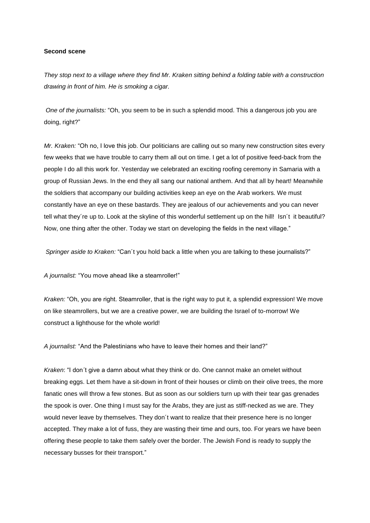## **Second scene**

*They stop next to a village where they find Mr. Kraken sitting behind a folding table with a construction drawing in front of him. He is smoking a cigar.*

*One of the journalists:* "Oh, you seem to be in such a splendid mood. This a dangerous job you are doing, right?"

*Mr. Kraken:* "Oh no, I love this job. Our politicians are calling out so many new construction sites every few weeks that we have trouble to carry them all out on time. I get a lot of positive feed-back from the people I do all this work for. Yesterday we celebrated an exciting roofing ceremony in Samaria with a group of Russian Jews. In the end they all sang our national anthem. And that all by heart! Meanwhile the soldiers that accompany our building activities keep an eye on the Arab workers*.* We must constantly have an eye on these bastards. They are jealous of our achievements and you can never tell what they´re up to. Look at the skyline of this wonderful settlement up on the hill! Isn´t it beautiful? Now, one thing after the other. Today we start on developing the fields in the next village."

*Springer aside to Kraken:* "Can´t you hold back a little when you are talking to these journalists?"

*A journalist:* "You move ahead like a steamroller!"

*Kraken:* "Oh, you are right. Steamroller, that is the right way to put it, a splendid expression! We move on like steamrollers, but we are a creative power, we are building the Israel of to-morrow! We construct a lighthouse for the whole world!

*A journalist:* "And the Palestinians who have to leave their homes and their land?"

*Kraken*: "I don´t give a damn about what they think or do. One cannot make an omelet without breaking eggs. Let them have a sit-down in front of their houses or climb on their olive trees, the more fanatic ones will throw a few stones. But as soon as our soldiers turn up with their tear gas grenades the spook is over. One thing I must say for the Arabs, they are just as stiff-necked as we are. They would never leave by themselves. They don´t want to realize that their presence here is no longer accepted. They make a lot of fuss, they are wasting their time and ours, too. For years we have been offering these people to take them safely over the border. The Jewish Fond is ready to supply the necessary busses for their transport."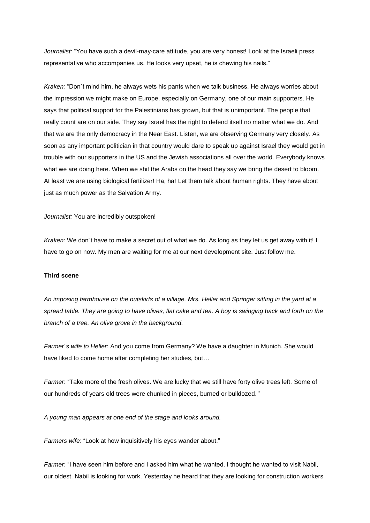*Journalist:* "You have such a devil-may-care attitude, you are very honest! Look at the Israeli press representative who accompanies us. He looks very upset, he is chewing his nails."

*Kraken:* "Don´t mind him, he always wets his pants when we talk business. He always worries about the impression we might make on Europe, especially on Germany, one of our main supporters. He says that political support for the Palestinians has grown, but that is unimportant. The people that really count are on our side. They say Israel has the right to defend itself no matter what we do. And that we are the only democracy in the Near East. Listen, we are observing Germany very closely. As soon as any important politician in that country would dare to speak up against Israel they would get in trouble with our supporters in the US and the Jewish associations all over the world. Everybody knows what we are doing here. When we shit the Arabs on the head they say we bring the desert to bloom. At least we are using biological fertilizer! Ha, ha! Let them talk about human rights. They have about just as much power as the Salvation Army.

*Journalist:* You are incredibly outspoken!

*Kraken:* We don´t have to make a secret out of what we do. As long as they let us get away with it! I have to go on now. My men are waiting for me at our next development site. Just follow me.

### **Third scene**

*An imposing farmhouse on the outskirts of a village. Mrs. Heller and Springer sitting in the yard at a spread table. They are going to have olives, flat cake and tea. A boy is swinging back and forth on the branch of a tree. An olive grove in the background.*

*Farmer´s wife to Heller*: And you come from Germany? We have a daughter in Munich. She would have liked to come home after completing her studies, but…

*Farmer*: "Take more of the fresh olives. We are lucky that we still have forty olive trees left. Some of our hundreds of years old trees were chunked in pieces, burned or bulldozed. "

*A young man appears at one end of the stage and looks around.*

*Farmers wife*: "Look at how inquisitively his eyes wander about."

*Farmer*: "I have seen him before and I asked him what he wanted. I thought he wanted to visit Nabil, our oldest. Nabil is looking for work. Yesterday he heard that they are looking for construction workers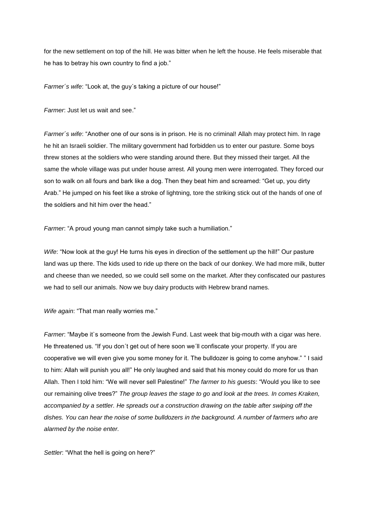for the new settlement on top of the hill. He was bitter when he left the house. He feels miserable that he has to betray his own country to find a job."

*Farmer´s wife*: "Look at, the guy´s taking a picture of our house!"

*Farmer*: Just let us wait and see."

*Farmer´s wife*: "Another one of our sons is in prison. He is no criminal! Allah may protect him. In rage he hit an Israeli soldier. The military government had forbidden us to enter our pasture. Some boys threw stones at the soldiers who were standing around there. But they missed their target. All the same the whole village was put under house arrest. All young men were interrogated. They forced our son to walk on all fours and bark like a dog. Then they beat him and screamed: "Get up, you dirty Arab." He jumped on his feet like a stroke of lightning, tore the striking stick out of the hands of one of the soldiers and hit him over the head."

*Farmer*: "A proud young man cannot simply take such a humiliation."

*Wife*: "Now look at the guy! He turns his eyes in direction of the settlement up the hill!" Our pasture land was up there. The kids used to ride up there on the back of our donkey. We had more milk, butter and cheese than we needed, so we could sell some on the market. After they confiscated our pastures we had to sell our animals. Now we buy dairy products with Hebrew brand names.

*Wife again*: "That man really worries me."

*Farmer*: "Maybe it`s someone from the Jewish Fund. Last week that big-mouth with a cigar was here. He threatened us. "If you don't get out of here soon we'll confiscate your property. If you are cooperative we will even give you some money for it. The bulldozer is going to come anyhow." " I said to him: Allah will punish you all!" He only laughed and said that his money could do more for us than Allah. Then I told him: "We will never sell Palestine!" *The farmer to his guests*: "Would you like to see our remaining olive trees?" *The group leaves the stage to go and look at the trees. In comes Kraken, accompanied by a settler. He spreads out a construction drawing on the table after swiping off the dishes. You can hear the noise of some bulldozers in the background. A number of farmers who are alarmed by the noise enter.*

*Settler*: "What the hell is going on here?"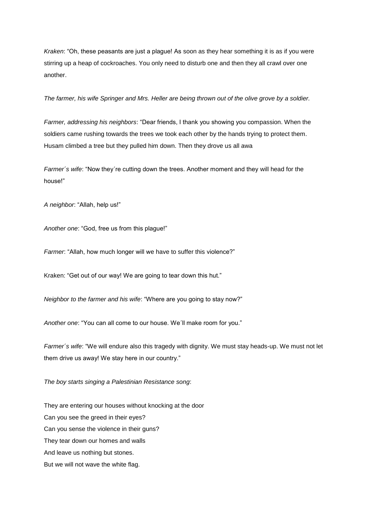*Kraken*: "Oh, these peasants are just a plague! As soon as they hear something it is as if you were stirring up a heap of cockroaches. You only need to disturb one and then they all crawl over one another.

*The farmer, his wife Springer and Mrs. Heller are being thrown out of the olive grove by a soldier.*

*Farmer, addressing his neighbors*: "Dear friends, I thank you showing you compassion. When the soldiers came rushing towards the trees we took each other by the hands trying to protect them. Husam climbed a tree but they pulled him down. Then they drove us all awa

*Farmer´s wife*: "Now they´re cutting down the trees. Another moment and they will head for the house!"

*A neighbor*: "Allah, help us!"

*Another one*: "God, free us from this plague!"

*Farmer*: "Allah, how much longer will we have to suffer this violence?"

Kraken: "Get out of our way! We are going to tear down this hut."

*Neighbor to the farmer and his wife*: "Where are you going to stay now?"

*Another one*: "You can all come to our house. We´ll make room for you."

*Farmer´s wife*: "We will endure also this tragedy with dignity. We must stay heads-up. We must not let them drive us away! We stay here in our country."

*The boy starts singing a Palestinian Resistance song*:

They are entering our houses without knocking at the door Can you see the greed in their eyes? Can you sense the violence in their guns? They tear down our homes and walls And leave us nothing but stones. But we will not wave the white flag.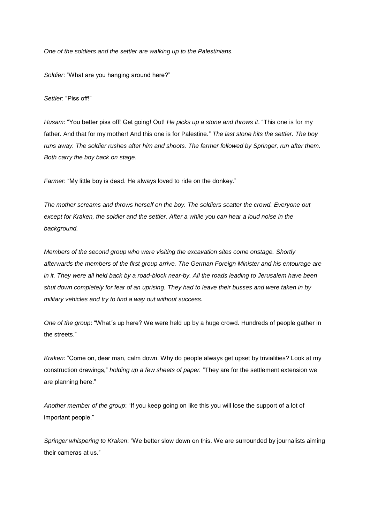*One of the soldiers and the settler are walking up to the Palestinians.*

*Soldier*: "What are you hanging around here?"

*Settler*: "Piss off!"

*Husam*: "You better piss off! Get going! Out! *He picks up a stone and throws it*. "This one is for my father. And that for my mother! And this one is for Palestine." *The last stone hits the settler. The boy runs away. The soldier rushes after him and shoots. The farmer followed by Springer, run after them. Both carry the boy back on stage.*

*Farmer*: "My little boy is dead. He always loved to ride on the donkey."

*The mother screams and throws herself on the boy. The soldiers scatter the crowd. Everyone out except for Kraken, the soldier and the settler. After a while you can hear a loud noise in the background.*

*Members of the second group who were visiting the excavation sites come onstage. Shortly afterwards the members of the first group arrive. The German Foreign Minister and his entourage are in it. They were all held back by a road-block near-by. All the roads leading to Jerusalem have been shut down completely for fear of an uprising. They had to leave their busses and were taken in by military vehicles and try to find a way out without success.*

*One of the group*: "What´s up here? We were held up by a huge crowd. Hundreds of people gather in the streets."

*Kraken*: "Come on, dear man, calm down. Why do people always get upset by trivialities? Look at my construction drawings," *holding up a few sheets of paper.* "They are for the settlement extension we are planning here."

*Another member of the group*: "If you keep going on like this you will lose the support of a lot of important people."

*Springer whispering to Kraken*: "We better slow down on this. We are surrounded by journalists aiming their cameras at us."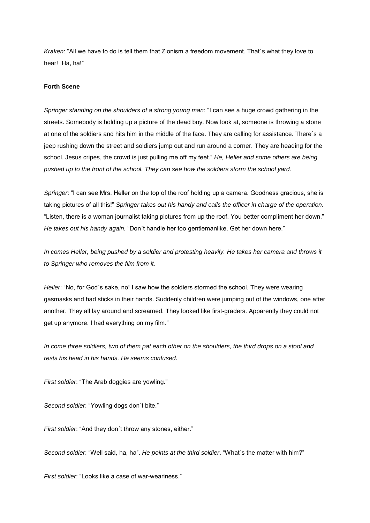*Kraken*: "All we have to do is tell them that Zionism a freedom movement. That´s what they love to hear! Ha, ha!"

# **Forth Scene**

*Springer standing on the shoulders of a strong young man*: "I can see a huge crowd gathering in the streets. Somebody is holding up a picture of the dead boy. Now look at, someone is throwing a stone at one of the soldiers and hits him in the middle of the face. They are calling for assistance. There´s a jeep rushing down the street and soldiers jump out and run around a corner. They are heading for the school. Jesus cripes, the crowd is just pulling me off my feet." *He, Heller and some others are being pushed up to the front of the school. They can see how the soldiers storm the school yard.*

*Springer*: "I can see Mrs. Heller on the top of the roof holding up a camera. Goodness gracious, she is taking pictures of all this!" *Springer takes out his handy and calls the officer in charge of the operation.* "Listen, there is a woman journalist taking pictures from up the roof. You better compliment her down." *He takes out his handy again.* "Don´t handle her too gentlemanlike. Get her down here."

*In comes Heller, being pushed by a soldier and protesting heavily. He takes her camera and throws it to Springer who removes the film from it.* 

*Heller*: "No, for God´s sake, no! I saw how the soldiers stormed the school. They were wearing gasmasks and had sticks in their hands. Suddenly children were jumping out of the windows, one after another. They all lay around and screamed. They looked like first-graders. Apparently they could not get up anymore. I had everything on my film."

*In come three soldiers, two of them pat each other on the shoulders, the third drops on a stool and rests his head in his hands. He seems confused.*

*First soldier*: "The Arab doggies are yowling."

*Second soldier*: "Yowling dogs don´t bite."

*First soldier*: "And they don´t throw any stones, either."

*Second soldier*: "Well said, ha, ha". *He points at the third soldier*. "What´s the matter with him?"

*First soldier*: "Looks like a case of war-weariness."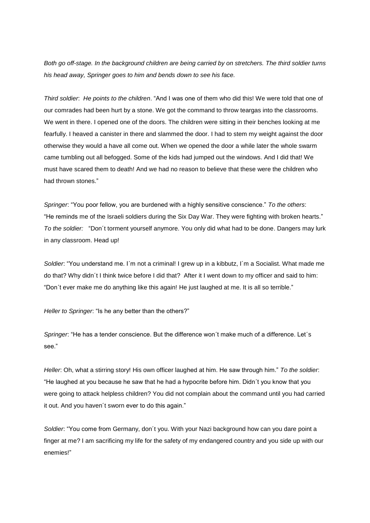*Both go off-stage. In the background children are being carried by on stretchers. The third soldier turns his head away, Springer goes to him and bends down to see his face.*

*Third soldier*: *He points to the children*. "And I was one of them who did this! We were told that one of our comrades had been hurt by a stone. We got the command to throw teargas into the classrooms. We went in there. I opened one of the doors. The children were sitting in their benches looking at me fearfully. I heaved a canister in there and slammed the door. I had to stem my weight against the door otherwise they would a have all come out. When we opened the door a while later the whole swarm came tumbling out all befogged. Some of the kids had jumped out the windows. And I did that! We must have scared them to death! And we had no reason to believe that these were the children who had thrown stones."

*Springer*: "You poor fellow, you are burdened with a highly sensitive conscience." *To the others*: "He reminds me of the Israeli soldiers during the Six Day War. They were fighting with broken hearts." *To the soldier:* "Don´t torment yourself anymore. You only did what had to be done. Dangers may lurk in any classroom. Head up!

*Soldier*: "You understand me. I´m not a criminal! I grew up in a kibbutz, I´m a Socialist. What made me do that? Why didn´t I think twice before I did that? After it I went down to my officer and said to him: "Don´t ever make me do anything like this again! He just laughed at me. It is all so terrible."

*Heller to Springer*: "Is he any better than the others?"

*Springer*: "He has a tender conscience. But the difference won´t make much of a difference. Let´s see."

*Heller*: Oh, what a stirring story! His own officer laughed at him. He saw through him." *To the soldier*: "He laughed at you because he saw that he had a hypocrite before him. Didn´t you know that you were going to attack helpless children? You did not complain about the command until you had carried it out. And you haven´t sworn ever to do this again."

*Soldier*: "You come from Germany, don´t you. With your Nazi background how can you dare point a finger at me? I am sacrificing my life for the safety of my endangered country and you side up with our enemies!"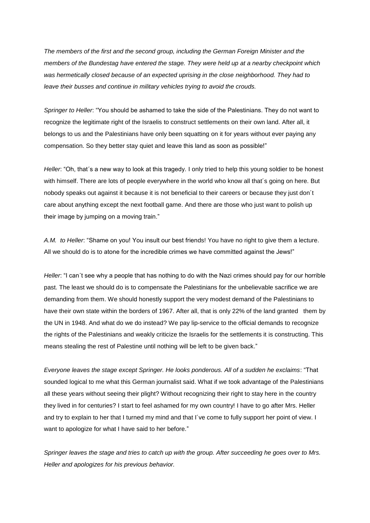*The members of the first and the second group, including the German Foreign Minister and the members of the Bundestag have entered the stage. They were held up at a nearby checkpoint which was hermetically closed because of an expected uprising in the close neighborhood. They had to leave their busses and continue in military vehicles trying to avoid the crouds.*

*Springer to Heller*: "You should be ashamed to take the side of the Palestinians. They do not want to recognize the legitimate right of the Israelis to construct settlements on their own land. After all, it belongs to us and the Palestinians have only been squatting on it for years without ever paying any compensation. So they better stay quiet and leave this land as soon as possible!"

*Heller*: "Oh, that´s a new way to look at this tragedy. I only tried to help this young soldier to be honest with himself. There are lots of people everywhere in the world who know all that´s going on here. But nobody speaks out against it because it is not beneficial to their careers or because they just don´t care about anything except the next football game. And there are those who just want to polish up their image by jumping on a moving train."

*A.M. to Heller*: "Shame on you! You insult our best friends! You have no right to give them a lecture. All we should do is to atone for the incredible crimes we have committed against the Jews!"

*Heller*: "I can´t see why a people that has nothing to do with the Nazi crimes should pay for our horrible past. The least we should do is to compensate the Palestinians for the unbelievable sacrifice we are demanding from them. We should honestly support the very modest demand of the Palestinians to have their own state within the borders of 1967. After all, that is only 22% of the land granted them by the UN in 1948. And what do we do instead? We pay lip-service to the official demands to recognize the rights of the Palestinians and weakly criticize the Israelis for the settlements it is constructing. This means stealing the rest of Palestine until nothing will be left to be given back."

*Everyone leaves the stage except Springer. He looks ponderous. All of a sudden he exclaims*: "That sounded logical to me what this German journalist said. What if we took advantage of the Palestinians all these years without seeing their plight? Without recognizing their right to stay here in the country they lived in for centuries? I start to feel ashamed for my own country! I have to go after Mrs. Heller and try to explain to her that I turned my mind and that I've come to fully support her point of view. I want to apologize for what I have said to her before."

*Springer leaves the stage and tries to catch up with the group. After succeeding he goes over to Mrs. Heller and apologizes for his previous behavior.*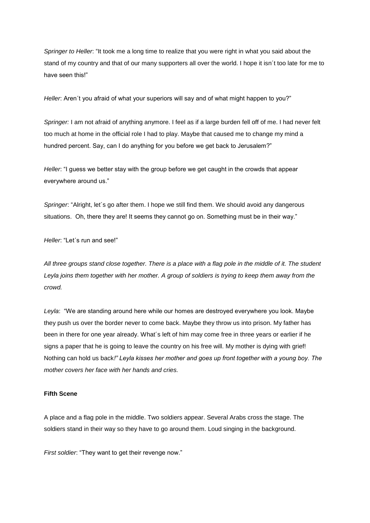*Springer to Heller*: "It took me a long time to realize that you were right in what you said about the stand of my country and that of our many supporters all over the world. I hope it isn´t too late for me to have seen this!"

*Heller*: Aren´t you afraid of what your superiors will say and of what might happen to you?"

*Springer:* I am not afraid of anything anymore. I feel as if a large burden fell off of me. I had never felt too much at home in the official role I had to play. Maybe that caused me to change my mind a hundred percent. Say, can I do anything for you before we get back to Jerusalem?"

*Heller*: "I guess we better stay with the group before we get caught in the crowds that appear everywhere around us."

*Springer*: "Alright, let´s go after them. I hope we still find them. We should avoid any dangerous situations. Oh, there they are! It seems they cannot go on. Something must be in their way."

*Heller*: "Let´s run and see!"

*All three groups stand close together. There is a place with a flag pole in the middle of it. The student Leyla joins them together with her mother. A group of soldiers is trying to keep them away from the crowd.*

*Leyla*: "We are standing around here while our homes are destroyed everywhere you look. Maybe they push us over the border never to come back. Maybe they throw us into prison. My father has been in there for one year already. What´s left of him may come free in three years or earlier if he signs a paper that he is going to leave the country on his free will. My mother is dying with grief! Nothing can hold us back*!" Leyla kisses her mother and goes up front together with a young boy. The mother covers her face with her hands and cries.*

### **Fifth Scene**

A place and a flag pole in the middle. Two soldiers appear. Several Arabs cross the stage. The soldiers stand in their way so they have to go around them. Loud singing in the background.

*First soldier*: "They want to get their revenge now."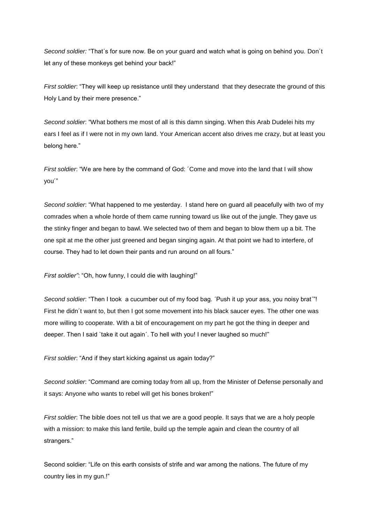*Second soldier:* "That´s for sure now. Be on your guard and watch what is going on behind you. Don´t let any of these monkeys get behind your back!"

*First soldier*: "They will keep up resistance until they understand that they desecrate the ground of this Holy Land by their mere presence."

*Second soldier*: "What bothers me most of all is this damn singing. When this Arab Dudelei hits my ears I feel as if I were not in my own land. Your American accent also drives me crazy, but at least you belong here."

*First soldier*: "We are here by the command of God: ´Come and move into the land that I will show you´"

*Second soldier*: "What happened to me yesterday. I stand here on guard all peacefully with two of my comrades when a whole horde of them came running toward us like out of the jungle. They gave us the stinky finger and began to bawl. We selected two of them and began to blow them up a bit. The one spit at me the other just greened and began singing again. At that point we had to interfere, of course. They had to let down their pants and run around on all fours."

*First soldier"*: "Oh, how funny, I could die with laughing!"

*Second soldier*: "Then I took a cucumber out of my food bag. ´Push it up your ass, you noisy brat´"! First he didn´t want to, but then I got some movement into his black saucer eyes. The other one was more willing to cooperate. With a bit of encouragement on my part he got the thing in deeper and deeper. Then I said `take it out again´. To hell with you! I never laughed so much!"

*First soldier*: "And if they start kicking against us again today?"

*Second soldier*: "Command are coming today from all up, from the Minister of Defense personally and it says: Anyone who wants to rebel will get his bones broken!"

*First soldier*: The bible does not tell us that we are a good people. It says that we are a holy people with a mission: to make this land fertile, build up the temple again and clean the country of all strangers."

Second soldier: "Life on this earth consists of strife and war among the nations. The future of my country lies in my gun.!"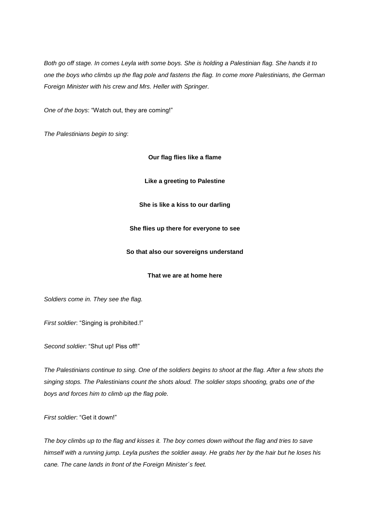*Both go off stage. In comes Leyla with some boys. She is holding a Palestinian flag. She hands it to one the boys who climbs up the flag pole and fastens the flag. In come more Palestinians, the German Foreign Minister with his crew and Mrs. Heller with Springer.*

*One of the boys*: "Watch out, they are coming!"

*The Palestinians begin to sing*:

**Our flag flies like a flame**

**Like a greeting to Palestine**

**She is like a kiss to our darling**

### **She flies up there for everyone to see**

### **So that also our sovereigns understand**

### **That we are at home here**

*Soldiers come in. They see the flag.*

*First soldier*: "Singing is prohibited.!"

*Second soldier*: "Shut up! Piss off!"

*The Palestinians continue to sing. One of the soldiers begins to shoot at the flag. After a few shots the singing stops. The Palestinians count the shots aloud. The soldier stops shooting, grabs one of the boys and forces him to climb up the flag pole.*

*First soldier*: "Get it down!"

*The boy climbs up to the flag and kisses it. The boy comes down without the flag and tries to save himself with a running jump. Leyla pushes the soldier away. He grabs her by the hair but he loses his cane. The cane lands in front of the Foreign Minister´s feet.*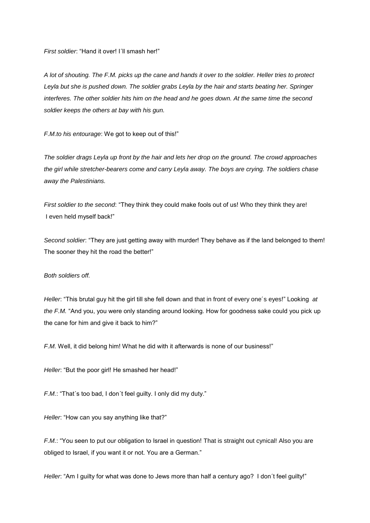*First soldier*: "Hand it over! I´ll smash her!"

*A lot of shouting. The F.M. picks up the cane and hands it over to the soldier. Heller tries to protect Leyla but she is pushed down. The soldier grabs Leyla by the hair and starts beating her. Springer interferes. The other soldier hits him on the head and he goes down. At the same time the second soldier keeps the others at bay with his gun.* 

*F.M.to his entourage*: We got to keep out of this!"

*The soldier drags Leyla up front by the hair and lets her drop on the ground. The crowd approaches the girl while stretcher-bearers come and carry Leyla away. The boys are crying. The soldiers chase away the Palestinians.*

*First soldier to the second*: "They think they could make fools out of us! Who they think they are! I even held myself back!"

*Second soldier*: "They are just getting away with murder! They behave as if the land belonged to them! The sooner they hit the road the better!"

### *Both soldiers off.*

*Heller*: "This brutal guy hit the girl till she fell down and that in front of every one´s eyes!" Looking *at the F.M.* "And you, you were only standing around looking. How for goodness sake could you pick up the cane for him and give it back to him?"

F.M. Well, it did belong him! What he did with it afterwards is none of our business!"

*Heller*: "But the poor girl! He smashed her head!"

*F.M.*: "That´s too bad, I don´t feel guilty. I only did my duty."

*Heller*: "How can you say anything like that?"

*F.M.*: "You seen to put our obligation to Israel in question! That is straight out cynical! Also you are obliged to Israel, if you want it or not. You are a German."

*Heller*: "Am I guilty for what was done to Jews more than half a century ago? I don´t feel guilty!"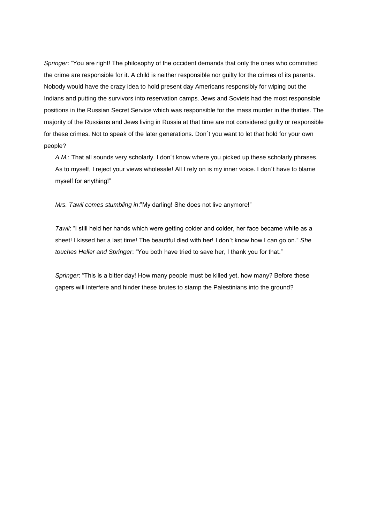*Springer*: "You are right! The philosophy of the occident demands that only the ones who committed the crime are responsible for it. A child is neither responsible nor guilty for the crimes of its parents. Nobody would have the crazy idea to hold present day Americans responsibly for wiping out the Indians and putting the survivors into reservation camps. Jews and Soviets had the most responsible positions in the Russian Secret Service which was responsible for the mass murder in the thirties. The majority of the Russians and Jews living in Russia at that time are not considered guilty or responsible for these crimes. Not to speak of the later generations. Don´t you want to let that hold for your own people?

*A.M.*: That all sounds very scholarly. I don´t know where you picked up these scholarly phrases. As to myself, I reject your views wholesale! All I rely on is my inner voice. I don´t have to blame myself for anything!"

*Mrs. Tawil comes stumbling in*:"My darling! She does not live anymore!"

*Tawil*: "I still held her hands which were getting colder and colder, her face became white as a sheet! I kissed her a last time! The beautiful died with her! I don´t know how I can go on." *She touches Heller and Springer*: "You both have tried to save her, I thank you for that."

*Springer*: "This is a bitter day! How many people must be killed yet, how many? Before these gapers will interfere and hinder these brutes to stamp the Palestinians into the ground?